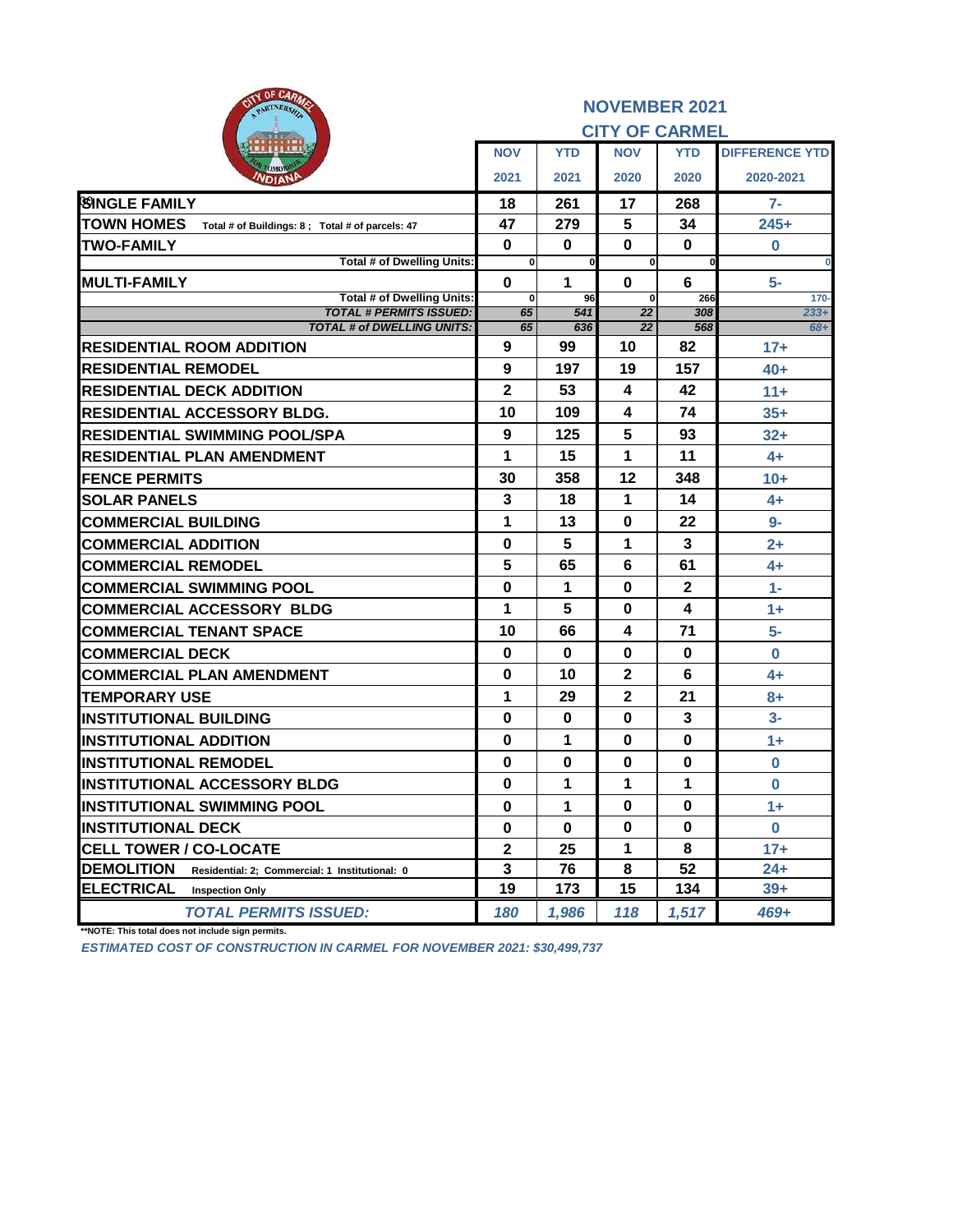| OF CAR<br>PARTNERSH                                                  | <b>NOVEMBER 2021</b><br><b>CITY OF CARMEL</b> |             |                                 |              |                       |  |  |
|----------------------------------------------------------------------|-----------------------------------------------|-------------|---------------------------------|--------------|-----------------------|--|--|
|                                                                      | <b>NOV</b>                                    | <b>YTD</b>  | <b>NOV</b>                      | <b>YTD</b>   | <b>DIFFERENCE YTD</b> |  |  |
|                                                                      | 2021                                          | 2021        | 2020                            | 2020         | 2020-2021             |  |  |
| <b>SINGLE FAMILY</b>                                                 | 18                                            | 261         | 17                              | 268          | $7-$                  |  |  |
| <b>TOWN HOMES</b><br>Total # of Buildings: 8; Total # of parcels: 47 | 47                                            | 279         | 5                               | 34           | $245+$                |  |  |
| <b>TWO-FAMILY</b>                                                    | $\bf{0}$                                      | $\bf{0}$    | $\mathbf 0$                     | $\mathbf 0$  | $\bf{0}$              |  |  |
| <b>Total # of Dwelling Units:</b>                                    | 0                                             | 0           | $\bf{0}$                        |              | $\bf{0}$              |  |  |
| <b>MULTI-FAMILY</b>                                                  | $\bf{0}$                                      | 1           | $\mathbf 0$                     | 6            | 5-                    |  |  |
| <b>Total # of Dwelling Units:</b><br><b>TOTAL # PERMITS ISSUED:</b>  | $\bf{0}$<br>65                                | 96<br>541   | $\mathbf{0}$<br>$\overline{22}$ | 266<br>308   | $170 -$<br>$233+$     |  |  |
| <b>TOTAL # of DWELLING UNITS:</b>                                    | 65                                            | 636         | $\overline{22}$                 | 568          | 68+                   |  |  |
| <b>RESIDENTIAL ROOM ADDITION</b>                                     | 9                                             | 99          | 10                              | 82           | $17+$                 |  |  |
| <b>RESIDENTIAL REMODEL</b>                                           | 9                                             | 197         | 19                              | 157          | $40+$                 |  |  |
| <b>RESIDENTIAL DECK ADDITION</b>                                     | $\overline{2}$                                | 53          | 4                               | 42           | $11+$                 |  |  |
| <b>RESIDENTIAL ACCESSORY BLDG.</b>                                   | 10                                            | 109         | 4                               | 74           | $35+$                 |  |  |
| <b>RESIDENTIAL SWIMMING POOL/SPA</b>                                 | 9                                             | 125         | 5                               | 93           | $32 +$                |  |  |
| <b>RESIDENTIAL PLAN AMENDMENT</b>                                    | 1                                             | 15          | 1                               | 11           | $4+$                  |  |  |
| <b>FENCE PERMITS</b>                                                 | 30                                            | 358         | 12                              | 348          | $10+$                 |  |  |
| <b>SOLAR PANELS</b>                                                  | 3                                             | 18          | 1                               | 14           | $4+$                  |  |  |
| <b>COMMERCIAL BUILDING</b>                                           | 1                                             | 13          | $\bf{0}$                        | 22           | $9-$                  |  |  |
| <b>COMMERCIAL ADDITION</b>                                           | $\mathbf 0$                                   | 5           | 1                               | 3            | $2+$                  |  |  |
| <b>COMMERCIAL REMODEL</b>                                            | 5                                             | 65          | 6                               | 61           | $4+$                  |  |  |
| <b>COMMERCIAL SWIMMING POOL</b>                                      | $\mathbf 0$                                   | 1           | $\mathbf 0$                     | $\mathbf 2$  | $1 -$                 |  |  |
| <b>COMMERCIAL ACCESSORY BLDG</b>                                     | 1                                             | 5           | $\bf{0}$                        | 4            | $1+$                  |  |  |
| <b>COMMERCIAL TENANT SPACE</b>                                       | 10                                            | 66          | 4                               | 71           | $5-$                  |  |  |
| <b>ICOMMERCIAL DECK</b>                                              | $\mathbf 0$                                   | $\bf{0}$    | $\mathbf 0$                     | $\bf{0}$     | $\bf{0}$              |  |  |
| <b>ICOMMERCIAL PLAN AMENDMENT</b>                                    | $\mathbf 0$                                   | 10          | $\mathbf{2}$                    | 6            | $4+$                  |  |  |
| <b>TEMPORARY USE</b>                                                 | 1                                             | 29          | $\boldsymbol{2}$                | 21           | $8+$                  |  |  |
| <b>INSTITUTIONAL BUILDING</b>                                        | $\bf{0}$                                      | $\bf{0}$    | $\mathbf 0$                     | $\mathbf{3}$ | $3-$                  |  |  |
| <b>IINSTITUTIONAL ADDITION</b>                                       | $\bf{0}$                                      | 1           | $\mathbf 0$                     | $\mathbf 0$  | $1+$                  |  |  |
| <b>INSTITUTIONAL REMODEL</b>                                         | $\bf{0}$                                      | $\bf{0}$    | $\mathbf 0$                     | $\mathbf 0$  | $\bf{0}$              |  |  |
| <b>INSTITUTIONAL ACCESSORY BLDG</b>                                  | $\bf{0}$                                      | $\mathbf 1$ | 1                               | 1            | $\bf{0}$              |  |  |
| <b>INSTITUTIONAL SWIMMING POOL</b>                                   | $\bf{0}$                                      | 1           | $\mathbf 0$                     | $\mathbf 0$  | $1+$                  |  |  |
| <b>INSTITUTIONAL DECK</b>                                            | $\bf{0}$                                      | $\bf{0}$    | $\mathbf 0$                     | $\mathbf 0$  | $\bf{0}$              |  |  |
| <b>CELL TOWER / CO-LOCATE</b>                                        | $\mathbf{2}$                                  | 25          | 1                               | 8            | $17+$                 |  |  |
| <b>DEMOLITION</b><br>Residential: 2; Commercial: 1 Institutional: 0  | $\overline{3}$                                | 76          | 8                               | 52           | $24+$                 |  |  |
| <b>ELECTRICAL</b><br><b>Inspection Only</b>                          | 19                                            | 173         | 15                              | 134          | $39+$                 |  |  |
| <b>TOTAL PERMITS ISSUED:</b>                                         | 180                                           | 1,986       | 118                             | 1,517        | 469+                  |  |  |

**\*\*NOTE: This total does not include sign permits.**

*ESTIMATED COST OF CONSTRUCTION IN CARMEL FOR NOVEMBER 2021: \$30,499,737*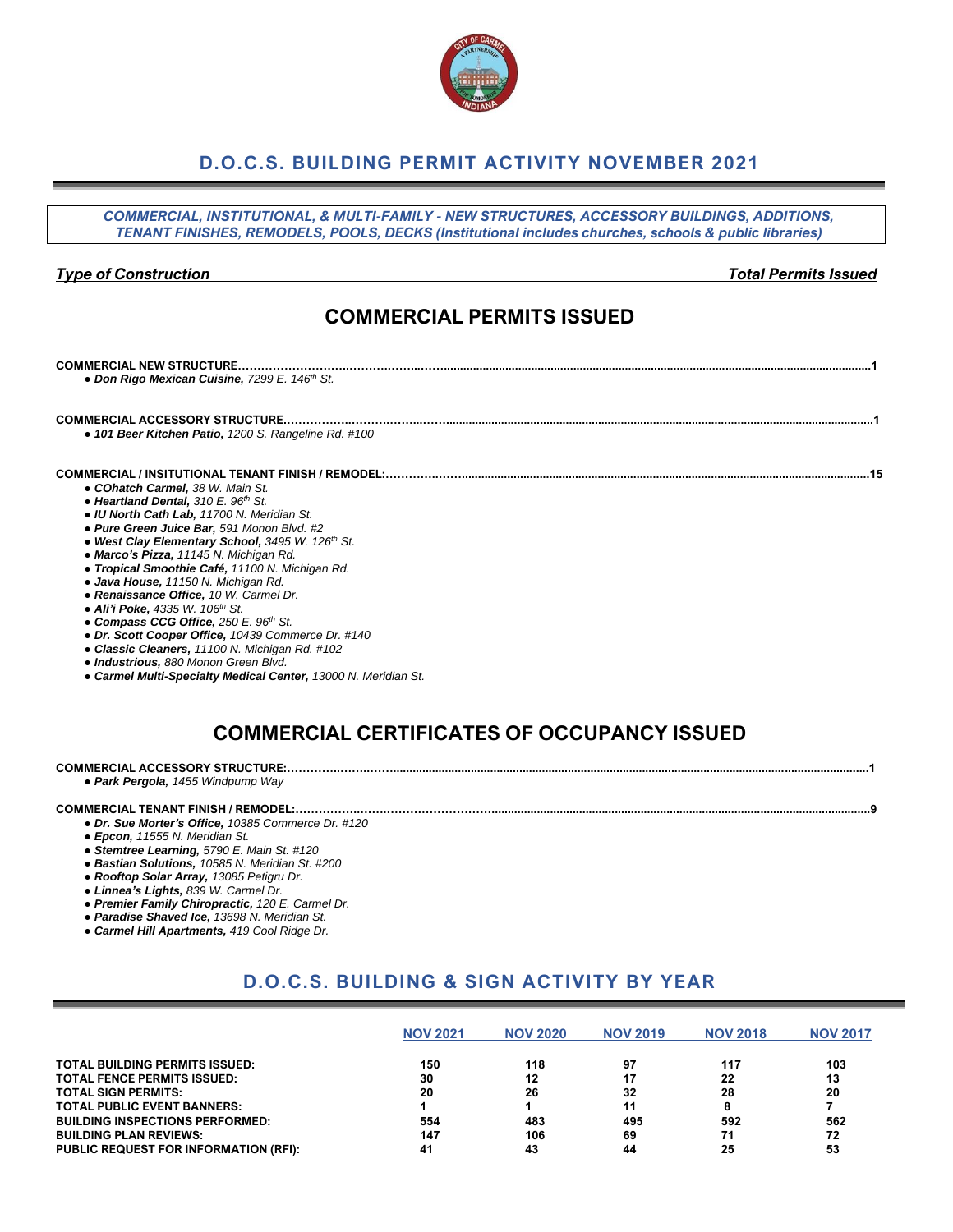## **D.O.C.S. BUILDING PERMIT ACTIVITY NOVEMBER 2021**

*COMMERCIAL, INSTITUTIONAL, & MULTI-FAMILY - NEW STRUCTURES, ACCESSORY BUILDINGS, ADDITIONS, TENANT FINISHES, REMODELS, POOLS, DECKS (Institutional includes churches, schools & public libraries)*

#### *Type of Construction Total Permits Issued*

# **COMMERCIAL PERMITS ISSUED**

| <b>COMMERCIAL NEW STRUCTURE.</b><br>• Don Rigo Mexican Cuisine, 7299 E. 146th St.                                                                                                                                                                                                                                                                                                                                                                                                                                                                                                         |
|-------------------------------------------------------------------------------------------------------------------------------------------------------------------------------------------------------------------------------------------------------------------------------------------------------------------------------------------------------------------------------------------------------------------------------------------------------------------------------------------------------------------------------------------------------------------------------------------|
| <b>COMMERCIAL ACCESSORY STRUCTURE.</b><br>• 101 Beer Kitchen Patio, 1200 S. Rangeline Rd. #100                                                                                                                                                                                                                                                                                                                                                                                                                                                                                            |
| • COhatch Carmel, 38 W. Main St.<br>• Heartland Dental, 310 E. 96th St.<br>• IU North Cath Lab, 11700 N. Meridian St.<br>• Pure Green Juice Bar. 591 Monon Blvd. #2<br>• West Clay Elementary School, 3495 W. 126th St.<br>• Marco's Pizza, 11145 N. Michigan Rd.<br>• Tropical Smoothie Café, 11100 N. Michigan Rd.<br>• Java House, 11150 N. Michigan Rd.<br>• Renaissance Office, 10 W. Carmel Dr.<br>• Ali'i Poke. 4335 W. 106th St.<br>• Compass CCG Office, 250 E. 96th St.<br>• Dr. Scott Cooper Office, 10439 Commerce Dr. #140<br>• Classic Cleaners, 11100 N. Michigan Rd. #102 |
| • Industrious, 880 Monon Green Blvd.<br>• Carmel Multi-Specialty Medical Center, 13000 N. Meridian St.                                                                                                                                                                                                                                                                                                                                                                                                                                                                                    |

# **COMMERCIAL CERTIFICATES OF OCCUPANCY ISSUED**

| • Park Pergola, 1455 Windpump Way           |
|---------------------------------------------|
|                                             |
| <b>COMMERCIAL TENANT FINISH / REMODEL:.</b> |

- *● Dr. Sue Morter's Office, 10385 Commerce Dr. #120*
- *● Epcon, 11555 N. Meridian St.*
- *● Stemtree Learning, 5790 E. Main St. #120*
- *● Bastian Solutions, 10585 N. Meridian St. #200*
- *● Rooftop Solar Array, 13085 Petigru Dr.*
- *● Linnea's Lights, 839 W. Carmel Dr.*
- *● Premier Family Chiropractic, 120 E. Carmel Dr.*
- *● Paradise Shaved Ice, 13698 N. Meridian St.*
- *● Carmel Hill Apartments, 419 Cool Ridge Dr.*

# **D.O.C.S. BUILDING & SIGN ACTIVITY BY YEAR**

|                                              | <b>NOV 2021</b> | <b>NOV 2020</b> | <b>NOV 2019</b> | <b>NOV 2018</b> | <b>NOV 2017</b> |
|----------------------------------------------|-----------------|-----------------|-----------------|-----------------|-----------------|
| <b>TOTAL BUILDING PERMITS ISSUED:</b>        | 150             | 118             | 97              | 117             | 103             |
| <b>TOTAL FENCE PERMITS ISSUED:</b>           | 30              | 12              | 17              | 22              | 13              |
| <b>TOTAL SIGN PERMITS:</b>                   | 20              | 26              | 32              | 28              | 20              |
| <b>TOTAL PUBLIC EVENT BANNERS:</b>           |                 |                 | 11              | 8               |                 |
| <b>BUILDING INSPECTIONS PERFORMED:</b>       | 554             | 483             | 495             | 592             | 562             |
| <b>BUILDING PLAN REVIEWS:</b>                | 147             | 106             | 69              | 71              | 72              |
| <b>PUBLIC REQUEST FOR INFORMATION (RFI):</b> | 41              | 43              | 44              | 25              | 53              |

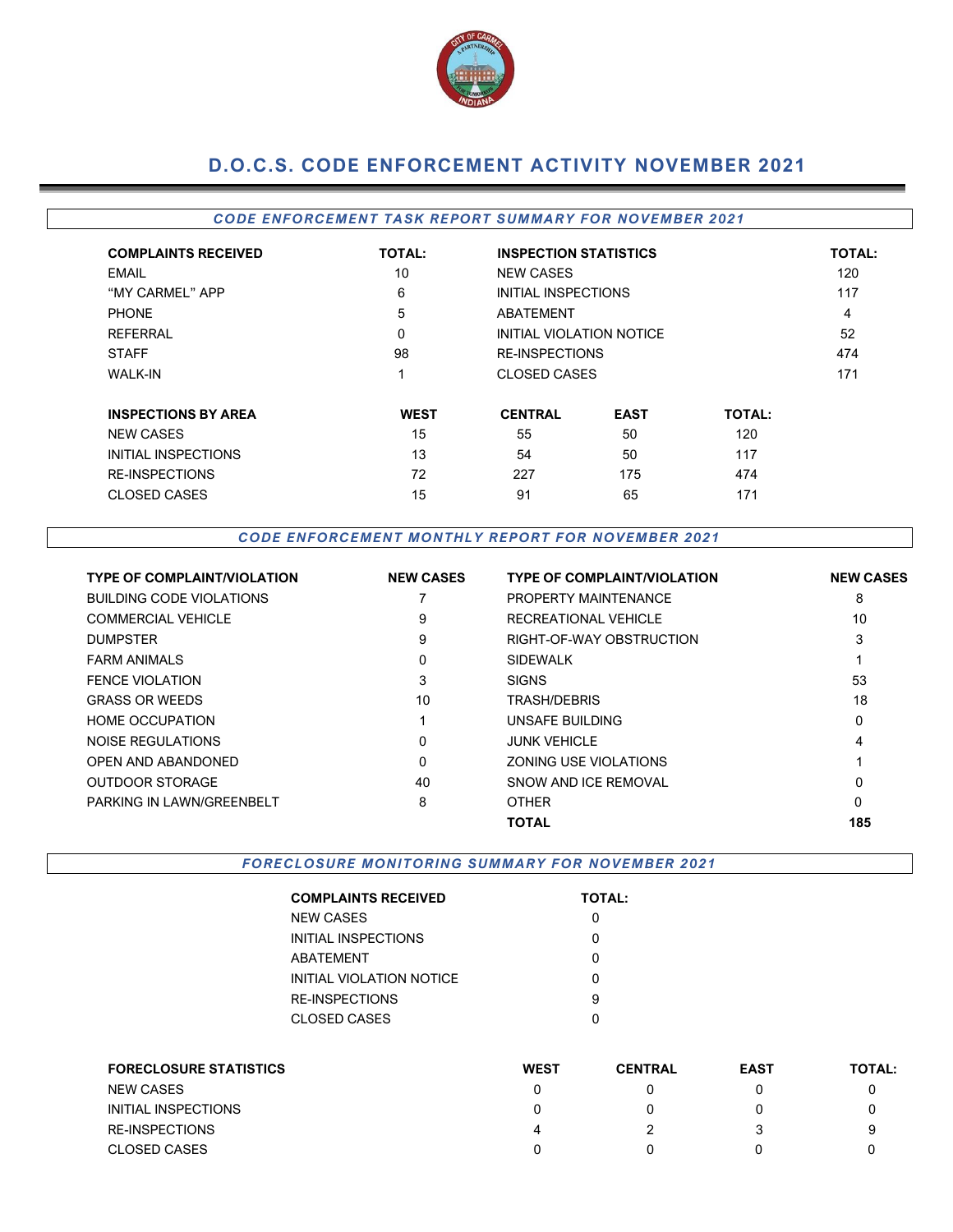

# **D.O.C.S. CODE ENFORCEMENT ACTIVITY NOVEMBER 2021**

## *CODE ENFORCEMENT TASK REPORT SUMMARY FOR NOVEMBER 2021*

| <b>COMPLAINTS RECEIVED</b> | <b>TOTAL:</b> | <b>INSPECTION STATISTICS</b> | <b>TOTAL:</b>       |               |     |  |  |
|----------------------------|---------------|------------------------------|---------------------|---------------|-----|--|--|
| EMAIL                      | 10            | <b>NEW CASES</b>             |                     |               |     |  |  |
| "MY CARMEL" APP            | 6             | <b>INITIAL INSPECTIONS</b>   | 117                 |               |     |  |  |
| <b>PHONE</b>               | 5             | <b>ABATEMENT</b>             | 4                   |               |     |  |  |
| REFERRAL                   | $\mathbf 0$   | INITIAL VIOLATION NOTICE     |                     |               | 52  |  |  |
| <b>STAFF</b>               | 98            | <b>RE-INSPECTIONS</b>        |                     |               | 474 |  |  |
| <b>WALK-IN</b>             |               |                              | <b>CLOSED CASES</b> |               |     |  |  |
| <b>INSPECTIONS BY AREA</b> | <b>WEST</b>   | <b>CENTRAL</b>               | <b>EAST</b>         | <b>TOTAL:</b> |     |  |  |
| <b>NEW CASES</b>           | 15            | 55                           | 50                  | 120           |     |  |  |
| INITIAL INSPECTIONS        | 13            | 54                           | 50                  | 117           |     |  |  |
| <b>RE-INSPECTIONS</b>      | 72            | 175<br>227<br>474            |                     |               |     |  |  |
| <b>CLOSED CASES</b>        | 15            | 91                           | 65                  | 171           |     |  |  |

#### *CODE ENFORCEMENT MONTHLY REPORT FOR NOVEMBER 2021*

| <b>TYPE OF COMPLAINT/VIOLATION</b> | <b>NEW CASES</b> | <b>TYPE OF COMPLAINT/VIOLATION</b> | <b>NEW CASES</b> |
|------------------------------------|------------------|------------------------------------|------------------|
| BUILDING CODE VIOLATIONS           |                  | PROPERTY MAINTENANCE               | 8                |
| <b>COMMERCIAL VEHICLE</b>          | 9                | RECREATIONAL VEHICLE               | 10               |
| <b>DUMPSTER</b>                    | 9                | RIGHT-OF-WAY OBSTRUCTION           | 3                |
| <b>FARM ANIMALS</b>                | 0                | <b>SIDEWALK</b>                    |                  |
| <b>FENCE VIOLATION</b>             | 3                | <b>SIGNS</b>                       | 53               |
| <b>GRASS OR WEEDS</b>              | 10               | <b>TRASH/DEBRIS</b>                | 18               |
| <b>HOME OCCUPATION</b>             |                  | UNSAFE BUILDING                    | 0                |
| NOISE REGULATIONS                  | 0                | <b>JUNK VEHICLE</b>                | 4                |
| OPEN AND ABANDONED                 | 0                | ZONING USE VIOLATIONS              |                  |
| <b>OUTDOOR STORAGE</b>             | 40               | SNOW AND ICF REMOVAL               | 0                |
| <b>PARKING IN LAWN/GREENBELT</b>   | 8                | <b>OTHER</b>                       | 0                |
|                                    |                  | <b>TOTAL</b>                       | 185              |

*FORECLOSURE MONITORING SUMMARY FOR NOVEMBER 2021*

| <b>COMPLAINTS RECEIVED</b> | <b>TOTAL:</b> |
|----------------------------|---------------|
| NEW CASES                  |               |
| INITIAL INSPECTIONS        | ი             |
| ABATEMENT                  | O             |
| INITIAL VIOLATION NOTICE   | ი             |
| RE-INSPECTIONS             | 9             |
| CLOSED CASES               |               |
|                            |               |

| <b>FORECLOSURE STATISTICS</b> | <b>WEST</b> | <b>CENTRAL</b> | <b>EAST</b> | <b>TOTAL:</b> |
|-------------------------------|-------------|----------------|-------------|---------------|
| NEW CASES                     |             |                |             |               |
| INITIAL INSPECTIONS           |             |                |             |               |
| <b>RE-INSPECTIONS</b>         | 4           |                |             | a             |
| <b>CLOSED CASES</b>           |             |                |             |               |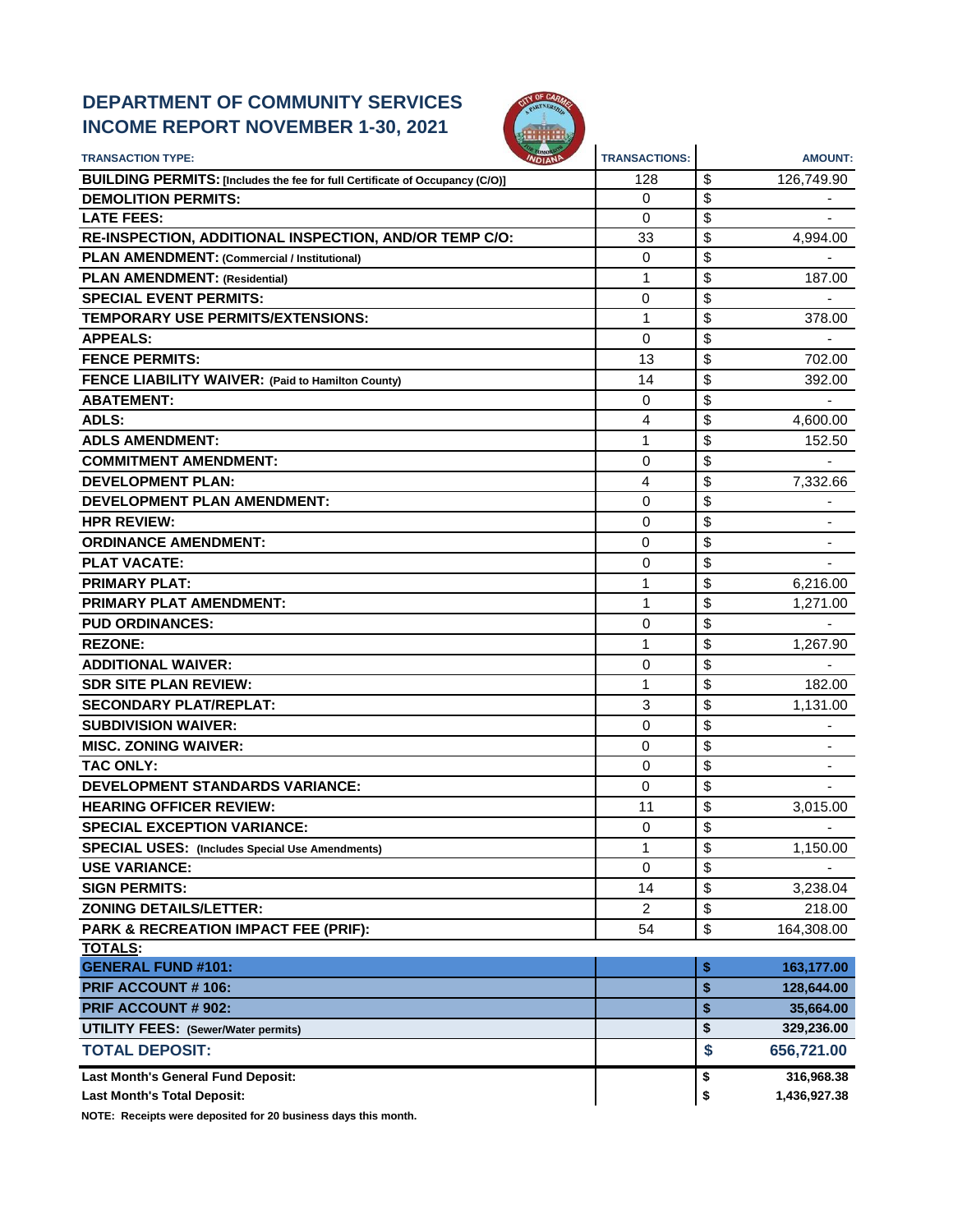# **DEPARTMENT OF COMMUNITY SERVICES INCOME REPORT NOVEMBER 1-30, 2021**



| <b>TRANSACTION TYPE:</b>                                                     | <b>TRANSACTIONS:</b> | <b>AMOUNT:</b>     |
|------------------------------------------------------------------------------|----------------------|--------------------|
| BUILDING PERMITS: [Includes the fee for full Certificate of Occupancy (C/O)] | 128                  | \$<br>126,749.90   |
| <b>DEMOLITION PERMITS:</b>                                                   | 0                    | \$                 |
| <b>LATE FEES:</b>                                                            | $\Omega$             | \$                 |
| RE-INSPECTION, ADDITIONAL INSPECTION, AND/OR TEMP C/O:                       | 33                   | \$<br>4,994.00     |
| PLAN AMENDMENT: (Commercial / Institutional)                                 | 0                    | \$                 |
| <b>PLAN AMENDMENT: (Residential)</b>                                         | 1                    | \$<br>187.00       |
| <b>SPECIAL EVENT PERMITS:</b>                                                | 0                    | \$                 |
| <b>TEMPORARY USE PERMITS/EXTENSIONS:</b>                                     | 1                    | \$<br>378.00       |
| <b>APPEALS:</b>                                                              | $\Omega$             | \$                 |
| <b>FENCE PERMITS:</b>                                                        | 13                   | \$<br>702.00       |
| FENCE LIABILITY WAIVER: (Paid to Hamilton County)                            | 14                   | \$<br>392.00       |
| <b>ABATEMENT:</b>                                                            | 0                    | \$                 |
| <b>ADLS:</b>                                                                 | 4                    | \$<br>4,600.00     |
| <b>ADLS AMENDMENT:</b>                                                       | 1                    | \$<br>152.50       |
| <b>COMMITMENT AMENDMENT:</b>                                                 | 0                    | \$                 |
| <b>DEVELOPMENT PLAN:</b>                                                     | 4                    | \$<br>7,332.66     |
| <b>DEVELOPMENT PLAN AMENDMENT:</b>                                           | 0                    | \$                 |
| <b>HPR REVIEW:</b>                                                           | 0                    | \$                 |
| <b>ORDINANCE AMENDMENT:</b>                                                  | 0                    | \$                 |
| <b>PLAT VACATE:</b>                                                          | 0                    | \$                 |
| <b>PRIMARY PLAT:</b>                                                         | 1                    | \$<br>6,216.00     |
| <b>PRIMARY PLAT AMENDMENT:</b>                                               | 1                    | \$<br>1,271.00     |
| <b>PUD ORDINANCES:</b>                                                       | 0                    | \$                 |
| <b>REZONE:</b>                                                               | 1                    | \$<br>1,267.90     |
| <b>ADDITIONAL WAIVER:</b>                                                    | $\Omega$             | \$                 |
| <b>SDR SITE PLAN REVIEW:</b>                                                 | 1                    | \$<br>182.00       |
| <b>SECONDARY PLAT/REPLAT:</b>                                                | 3                    | \$<br>1,131.00     |
| <b>SUBDIVISION WAIVER:</b>                                                   | $\mathbf 0$          | \$                 |
| <b>MISC. ZONING WAIVER:</b>                                                  | 0                    | \$                 |
| <b>TAC ONLY:</b>                                                             | 0                    | \$                 |
| <b>DEVELOPMENT STANDARDS VARIANCE:</b>                                       | $\Omega$             | \$                 |
| <b>HEARING OFFICER REVIEW:</b>                                               | 11                   | \$<br>3,015.00     |
| <b>SPECIAL EXCEPTION VARIANCE:</b>                                           | 0                    | \$                 |
| <b>SPECIAL USES:</b> (Includes Special Use Amendments)                       | 1                    | \$<br>1,150.00     |
| <b>USE VARIANCE:</b>                                                         | $\Omega$             | \$                 |
| <b>SIGN PERMITS:</b>                                                         | 14                   | \$<br>3,238.04     |
| <b>ZONING DETAILS/LETTER:</b>                                                | 2                    | \$<br>218.00       |
| PARK & RECREATION IMPACT FEE (PRIF):                                         | 54                   | \$<br>164,308.00   |
| <b>TOTALS:</b>                                                               |                      |                    |
| <b>GENERAL FUND #101:</b>                                                    |                      | \$<br>163,177.00   |
| PRIF ACCOUNT #106:                                                           |                      | \$<br>128,644.00   |
| PRIF ACCOUNT # 902:                                                          |                      | \$<br>35,664.00    |
| <b>UTILITY FEES: (Sewer/Water permits)</b>                                   |                      | \$<br>329,236.00   |
| <b>TOTAL DEPOSIT:</b>                                                        |                      | \$<br>656,721.00   |
| Last Month's General Fund Deposit:                                           |                      | \$<br>316,968.38   |
| <b>Last Month's Total Deposit:</b>                                           |                      | \$<br>1,436,927.38 |

**NOTE: Receipts were deposited for 20 business days this month.**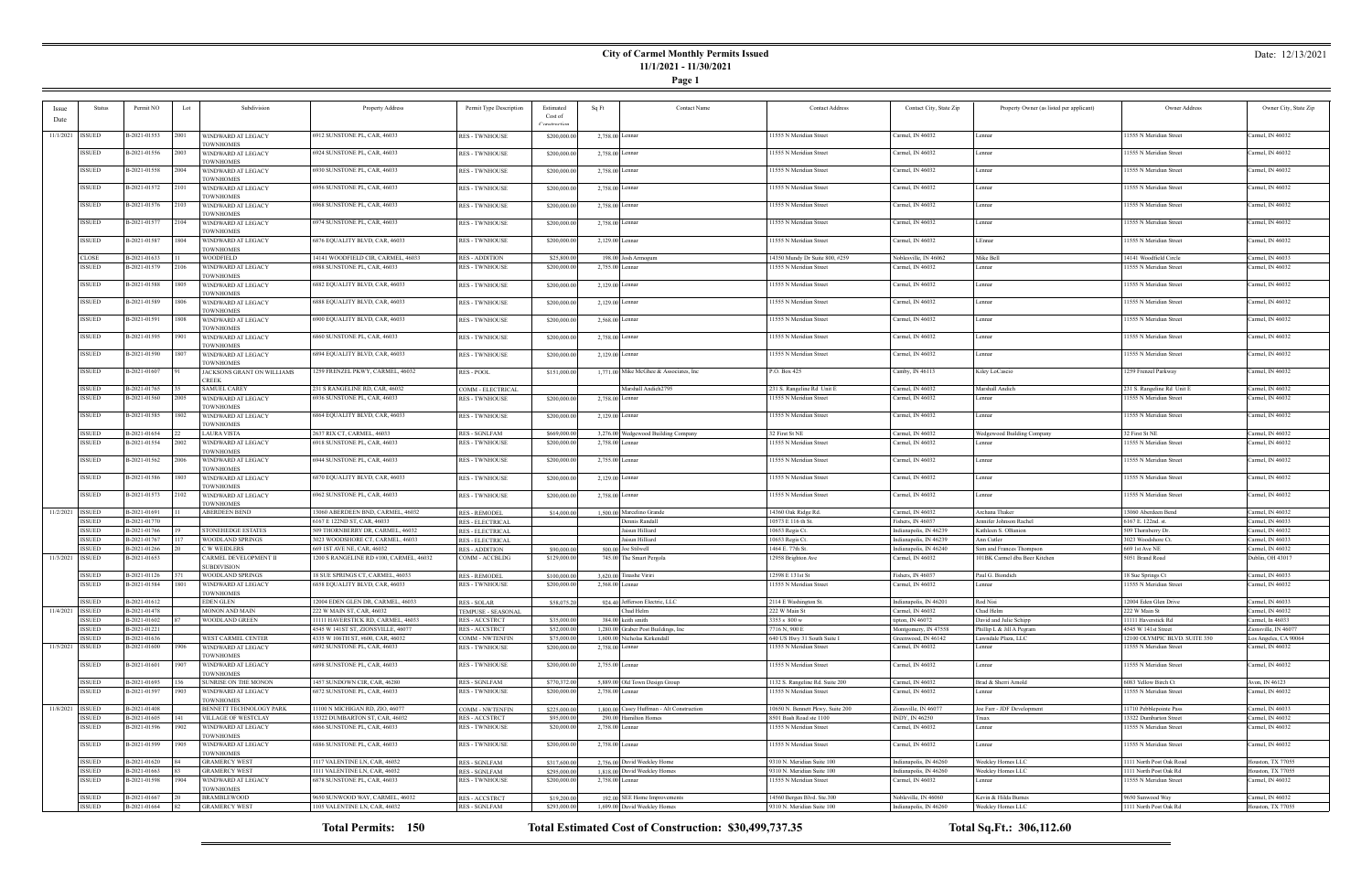## **City of Carmel Monthly Permits Issued 11/1/2021 - 11/30/2021**

**Page 1**

### Date: 12/13/2021

| Issue<br>Date | <b>Status</b>              | Permit NO                    | Lot         | Subdivision                                 | Property Address                                                | Permit Type Description                         | Estimated<br>Cost of<br>Constructio | Sq Ft             | <b>Contact Name</b>                                 | <b>Contact Address</b>                                     | Contact City, State Zip             | Property Owner (as listed per applicant) | Owner Address                                   | Owner City, State Zip                |
|---------------|----------------------------|------------------------------|-------------|---------------------------------------------|-----------------------------------------------------------------|-------------------------------------------------|-------------------------------------|-------------------|-----------------------------------------------------|------------------------------------------------------------|-------------------------------------|------------------------------------------|-------------------------------------------------|--------------------------------------|
|               | 11/1/2021   ISSUED         | B-2021-01553                 | 2001        | WINDWARD AT LEGACY<br><b>TOWNHOMES</b>      | 6912 SUNSTONE PL, CAR, 46033                                    | <b>RES - TWNHOUSE</b>                           | \$200,000.00                        | 2,758.00 Lennar   |                                                     | 11555 N Meridian Street                                    | Carmel, IN 46032                    | Lennar                                   | 11555 N Meridian Street                         | Carmel, IN 46032                     |
|               | ISSUED                     | B-2021-01556                 | 2003        | WINDWARD AT LEGACY<br><b>TOWNHOMES</b>      | 6924 SUNSTONE PL, CAR, 46033                                    | <b>RES - TWNHOUSE</b>                           | \$200,000.00                        | 2,758.00 Lennar   |                                                     | 11555 N Meridian Street                                    | Carmel, IN 46032                    | Lennar                                   | 11555 N Meridian Street                         | Carmel, IN 46032                     |
|               | ISSUED                     | B-2021-01558                 | 2004        | WINDWARD AT LEGACY<br><b>TOWNHOMES</b>      | 6930 SUNSTONE PL, CAR, 46033                                    | <b>RES - TWNHOUSE</b>                           | \$200,000.00                        | 2,758.00 Lennar   |                                                     | 11555 N Meridian Street                                    | Carmel, IN 46032                    | Lennar                                   | 11555 N Meridian Street                         | Carmel, IN 46032                     |
|               | ISSUED                     | B-2021-01572                 | 2101        | WINDWARD AT LEGACY<br><b>TOWNHOMES</b>      | 6956 SUNSTONE PL, CAR, 46033                                    | <b>RES - TWNHOUSE</b>                           | \$200,000.00                        | 2,758.00 Lennar   |                                                     | 11555 N Meridian Street                                    | Carmel, IN 46032                    | Lennar                                   | 11555 N Meridian Street                         | Carmel, IN 46032                     |
|               | ISSUED                     | B-2021-01576                 | 2103        | WINDWARD AT LEGACY<br><b>TOWNHOMES</b>      | 6968 SUNSTONE PL, CAR, 46033                                    | <b>RES - TWNHOUSE</b>                           | \$200,000.00                        | 2,758.00 Lennar   |                                                     | 11555 N Meridian Street                                    | Carmel, IN 46032                    | Lennar                                   | 11555 N Meridian Street                         | Carmel, IN 46032                     |
|               | ISSUED                     | B-2021-01577                 | 2104        | WINDWARD AT LEGACY<br><b>TOWNHOMES</b>      | 6974 SUNSTONE PL, CAR, 46033                                    | <b>RES - TWNHOUSE</b>                           | \$200,000.00                        | 2,758.00 Lennar   |                                                     | 11555 N Meridian Street                                    | Carmel, IN 46032                    | Lennar                                   | 11555 N Meridian Street                         | Carmel, IN 46032                     |
|               | ISSUED                     | B-2021-01587                 | 1804        | WINDWARD AT LEGACY<br><b>TOWNHOMES</b>      | 6876 EQUALITY BLVD, CAR, 46033                                  | <b>RES - TWNHOUSE</b>                           | \$200,000.00                        | $2,129.00$ Lennar |                                                     | 11555 N Meridian Street                                    | Carmel, IN 46032                    | LEnnar                                   | 11555 N Meridian Street                         | Carmel, IN 46032                     |
|               | <b>CLOSE</b>               | B-2021-01633                 |             | WOODFIELD                                   | 14141 WOODFIELD CIR, CARMEL, 46033                              | <b>RES - ADDITION</b>                           | \$25,800.00                         |                   | 198.00 Josh Armogum                                 | 14350 Mundy Dr Suite 800, #259                             | Noblesville, IN 46062               | Mike Bell                                | 14141 Woodfield Circle                          | Carmel, IN 46033                     |
|               | <b>ISSUED</b>              | B-2021-01579                 | 2106        | WINDWARD AT LEGACY<br><b>TOWNHOMES</b>      | 6988 SUNSTONE PL, CAR, 46033                                    | <b>RES - TWNHOUSE</b>                           | \$200,000.00                        | 2,755.00 Lennar   |                                                     | 11555 N Meridian Street                                    | Carmel, IN 46032                    | Lennar                                   | 11555 N Meridian Street                         | Carmel, IN 46032                     |
|               | ISSUED                     | B-2021-01588                 | 1805        | WINDWARD AT LEGACY<br><b>TOWNHOMES</b>      | 6882 EQUALITY BLVD, CAR, 46033                                  | <b>RES - TWNHOUSE</b>                           | \$200,000.00                        | 2,129.00 Lennar   |                                                     | 11555 N Meridian Street                                    | Carmel, IN 46032                    | Lennar                                   | 11555 N Meridian Street                         | Carmel, IN 46032                     |
|               | <b>ISSUED</b>              | B-2021-01589                 | 1806        | WINDWARD AT LEGACY<br><b>TOWNHOMES</b>      | 6888 EQUALITY BLVD, CAR, 46033                                  | <b>RES - TWNHOUSE</b>                           | \$200,000.00                        | $2,129.00$ Lennar |                                                     | 11555 N Meridian Street                                    | Carmel, IN 46032                    | Lennar                                   | 11555 N Meridian Street                         | Carmel, IN 46032                     |
|               | ISSUED                     | B-2021-01591                 | 1808        | WINDWARD AT LEGACY<br><b>TOWNHOMES</b>      | 6900 EQUALITY BLVD, CAR, 46033                                  | <b>RES - TWNHOUSE</b>                           | \$200,000.00                        | 2,568.00 Lennar   |                                                     | 11555 N Meridian Street                                    | Carmel, IN 46032                    | Lennar                                   | 11555 N Meridian Street                         | Carmel, IN 46032                     |
|               | ISSUED                     | B-2021-01595                 | 1901        | WINDWARD AT LEGACY<br><b>TOWNHOMES</b>      | 6860 SUNSTONE PL, CAR, 46033                                    | <b>RES - TWNHOUSE</b>                           | \$200,000.00                        | 2,758.00 Lennar   |                                                     | 11555 N Meridian Street                                    | Carmel, IN 46032                    | Lennar                                   | 11555 N Meridian Street                         | Carmel, IN 46032                     |
|               | ISSUED                     | B-2021-01590                 | 1807        | WINDWARD AT LEGACY<br><b>TOWNHOMES</b>      | 6894 EQUALITY BLVD, CAR, 46033                                  | <b>RES - TWNHOUSE</b>                           | \$200,000.00                        | $2,129.00$ Lennar |                                                     | 11555 N Meridian Street                                    | Carmel, IN 46032                    | Lennar                                   | 11555 N Meridian Street                         | Carmel, IN 46032                     |
|               | ISSUED                     | B-2021-01607                 |             | JACKSONS GRANT ON WILLIAMS<br><b>CREEK</b>  | 1259 FRENZEL PKWY, CARMEL, 46032                                | RES - POOL                                      | \$151,000.00                        |                   | 1,771.00 Mike McGhee & Associates, Inc.             | P.O. Box 425                                               | Camby, IN 46113                     | Kiley LoCascio                           | 1259 Frenzel Parkway                            | Carmel, IN 46032                     |
|               | ISSUED                     | B-2021-01765                 |             | <b>SAMUEL CAREY</b>                         | 231 S RANGELINE RD, CAR, 46032                                  | COMM - ELECTRICAL                               |                                     |                   | Marshall Andich2795                                 | 231 S. Rangeline Rd Unit E                                 | Carmel, IN 46032                    | Marshall Andich                          | 231 S. Rangeline Rd Unit E                      | Carmel, IN 46032                     |
|               | ISSUED                     | B-2021-01560                 | 2005        | WINDWARD AT LEGACY<br><b>TOWNHOMES</b>      | 6936 SUNSTONE PL, CAR, 46033                                    | <b>RES - TWNHOUSE</b>                           | \$200,000.00                        | 2,758.00 Lennar   |                                                     | 11555 N Meridian Street                                    | Carmel, IN 46032                    | Lennar                                   | 11555 N Meridian Street                         | Carmel, IN 46032                     |
|               | ISSUED                     | B-2021-01585                 | 1802        | WINDWARD AT LEGACY<br><b>TOWNHOMES</b>      | 6864 EQUALITY BLVD, CAR, 46033                                  | <b>RES - TWNHOUSE</b>                           | \$200,000.00                        | $2,129.00$ Lennar |                                                     | 11555 N Meridian Street                                    | Carmel, IN 46032                    | Lennar                                   | 11555 N Meridian Street                         | Carmel, IN 46032                     |
|               | <b>ISSUED</b>              | B-2021-01654                 |             | <b>LAURA VISTA</b>                          | 2637 RIX CT, CARMEL, 46033                                      | <b>RES - SGNLFAM</b>                            | \$669,000.00                        |                   | 3,276.00 Wedgewood Building Company                 | 32 First St NE                                             | Carmel, IN 46032                    | Wedgewood Building Company               | 32 First St NE                                  | Carmel, IN 46032                     |
|               | ISSUED                     | B-2021-01554                 | 2002        | WINDWARD AT LEGACY                          | 6918 SUNSTONE PL, CAR, 46033                                    | <b>RES - TWNHOUSE</b>                           | \$200,000.00                        | 2,758.00 Lennar   |                                                     | 11555 N Meridian Street                                    | Carmel, IN 46032                    | Lennar                                   | 11555 N Meridian Street                         | Carmel, IN 46032                     |
|               |                            |                              |             | <b>TOWNHOMES</b>                            |                                                                 |                                                 |                                     |                   |                                                     |                                                            |                                     |                                          |                                                 |                                      |
|               | ISSUED                     | B-2021-01562                 | 2006        | WINDWARD AT LEGACY<br><b>TOWNHOMES</b>      | 6944 SUNSTONE PL, CAR, 46033                                    | <b>RES - TWNHOUSE</b>                           | \$200,000.00                        | 2,755.00 Lennar   |                                                     | 11555 N Meridian Street                                    | Carmel, IN 46032                    | Lennar                                   | 11555 N Meridian Street                         | Carmel, IN 46032                     |
|               | ISSUED                     | B-2021-01586                 | 1803        | WINDWARD AT LEGACY<br>TOWNHOMES             | 6870 EQUALITY BLVD, CAR, 46033                                  | <b>RES - TWNHOUSE</b>                           | \$200,000.00                        | 2,129.00 Lennar   |                                                     | 11555 N Meridian Street                                    | Carmel, IN 46032                    | Lennar                                   | 11555 N Meridian Street                         | Carmel, IN 46032                     |
|               | ISSUED                     | B-2021-01573                 | 2102        | WINDWARD AT LEGACY<br><b>TOWNHOMES</b>      | 6962 SUNSTONE PL, CAR, 46033                                    | <b>RES - TWNHOUSE</b>                           | \$200,000.00                        | 2,758.00 Lennar   |                                                     | 11555 N Meridian Street                                    | Carmel, IN 46032                    | Lennar                                   | 11555 N Meridian Street                         | Carmel, IN 46032                     |
| 11/2/2021     | <b>ISSUED</b>              | B-2021-01691                 |             | <b>ABERDEEN BEND</b>                        | 13060 ABERDEEN BND, CARMEL, 46032                               | <b>RES - REMODEL</b>                            | \$14,000.00                         |                   | 1.500.00 Marcelino Grande                           | 14360 Oak Ridge Rd.                                        | Carmel, IN 46032                    | Archana Thaker                           | 13060 Aberdeen Bend                             | Carmel, IN 46032                     |
|               | ISSUED                     | B-2021-01770                 |             |                                             | 6167 E 122ND ST, CAR, 46033                                     | <b>RES - ELECTRICAL</b>                         |                                     |                   | Dennis Randall                                      | 10573 E 116 th St.                                         | Fishers, IN 46037                   | Jennifer Johnson Rachel                  | 6167 E. 122nd. st.                              | Carmel, IN 46033                     |
|               | ISSUED                     | B-2021-01766                 |             | STONEHEDGE ESTATES                          | 509 THORNBERRY DR, CARMEL, 46032                                | <b>RES - ELECTRICAL</b>                         |                                     |                   | Jaisun Hilliard                                     | 10653 Regis Ct.                                            | Indianapolis, IN 46239              | Kathleen S. OBanion                      | 509 Thornberry Dr.                              | Carmel, IN 46032                     |
|               | <b>ISSUED</b>              | B-2021-01767                 | 117         | <b>WOODLAND SPRINGS</b>                     | 3023 WOODSHORE CT, CARMEL, 46033                                | <b>RES - ELECTRICAL</b>                         |                                     |                   | Jaisun Hilliard                                     | 10653 Regis Ct.                                            | ndianapolis, IN 46239               | Ann Cutler                               | 3023 Woodshore Ct.                              | Carmel, IN 46033                     |
|               | <b>ISSUED</b>              | B-2021-01266                 |             | C W WEIDLERS                                | 669 1ST AVE NE, CAR, 46032                                      | <b>RES - ADDITION</b>                           | \$90,000.00                         |                   | 500.00 Joe Stilwell                                 | 1464 E. 77th St.                                           | Indianapolis, IN 46240              | Sam and Frances Thompson                 | 669 1st Ave NE                                  | Carmel, IN 46032                     |
|               | 11/3/2021   ISSUED         | B-2021-01653                 |             | CARMEL DEVELOPMENT II<br><b>SUBDIVISION</b> | 1200 S RANGELINE RD #100, CARMEL, 46032                         | COMM - ACCBLDG                                  | \$129,000.00                        |                   | 745.00 The Smart Pergola                            | 12958 Brighton Ave                                         | Carmel, IN 46032                    | 101BK Carmel dba Beer Kitchen            | 5051 Brand Road                                 | Dublin, OH 43017                     |
|               | <b>ISSUED</b>              | B-2021-01126                 |             | WOODLAND SPRINGS                            | 18 SUE SPRINGS CT, CARMEL, 46033                                | <b>RES - REMODEL</b>                            | \$100,000.00                        |                   | 3,620.00 Tinashe Viriri                             | 12598 E 131st St                                           | Fishers, IN 46037                   | Paul G. Biondich                         | 18 Sue Springs Ct                               | Carmel, IN 46033                     |
|               | ISSUED                     | B-2021-01584                 | 1801        | <b>WINDWARD AT LEGACY</b>                   | 6858 EQUALITY BLVD, CAR, 46033                                  | <b>RES - TWNHOUSE</b>                           | \$200,000.00                        | 2,568.00 Lennar   |                                                     | 11555 N Meridian Street                                    | Carmel, IN 46032                    | Lennar                                   | 11555 N Meridian Street                         | Carmel, IN 46032                     |
|               |                            |                              |             | TOWNHOMES                                   |                                                                 |                                                 |                                     |                   |                                                     |                                                            |                                     |                                          |                                                 |                                      |
|               | ISSUED                     | B-2021-01612                 |             | EDEN GLEN                                   | 12004 EDEN GLEN DR, CARMEL, 46033                               | RES - SOLAR                                     | \$58,075.2                          |                   | 924.40 Jefferson Electric, LLC                      | 2114 E Washington St.                                      | Indianapolis, IN 46201              | Rod Nisi<br>Chad Helm                    | 12004 Eden Glen Drive                           | Carmel, IN 46033                     |
|               | 11/4/2021 ISSUED<br>ISSUED | B-2021-01478<br>B-2021-01602 |             | <b>MONON AND MAIN</b><br>WOODLAND GREEN     | 222 W MAIN ST, CAR, 46032<br>11111 HAVERSTICK RD, CARMEL, 46033 | TEMPUSE - SEASONAL<br>RES - ACCSTRCT            | \$35,000.00                         |                   | Chad Helm<br>384,00 keith smith                     | 222 W Main St<br>3353 s 800 w                              | Carmel, IN 46032<br>ipton, IN 46072 | David and Julie Schipp                   | 222 W Main St<br>11111 Haverstick Rd            | Carmel, IN 46032<br>Carmel, In 46033 |
|               | <b>ISSUED</b>              | B-2021-01221                 |             |                                             | 4545 W 141ST ST, ZIONSVILLE, 46077                              |                                                 | \$52,000.00                         |                   | 1,280.00 Graber Post Buildings, Inc.                | 7716 N, 900 E                                              | Montgomery, IN 47558                | Phillip L & Jill A Pegram                | 4545 W 141st Street                             | Zionsville, IN 46077                 |
|               | <b>ISSUED</b>              | B-2021-01636                 |             | WEST CARMEL CENTER                          | 4335 W 106TH ST, #600, CAR, 46032                               | <b>RES - ACCSTRCT</b><br><b>COMM - NWTENFIN</b> | \$75,000.00                         |                   | 1.600.00 Nicholas Kirkendall                        | 640 US Hwy 31 South Suite I                                | Greenwood, IN 46142                 | Lawndale Plaza, LLC                      | 12100 OLYMPIC BLVD. SUITE 350                   | Los Angeles, CA 90064                |
|               | 11/5/2021   ISSUED         | B-2021-01600                 | 1906        | WINDWARD AT LEGACY                          | 6892 SUNSTONE PL, CAR, 46033                                    | <b>RES - TWNHOUSE</b>                           | \$200,000.00                        | 2,758.00 Lennar   |                                                     | 11555 N Meridian Street                                    | Carmel, IN 46032                    | Lennar                                   | 11555 N Meridian Street                         | Carmel, IN 46032                     |
|               | <b>ISSUED</b>              | B-2021-01601                 | 1907        | <b>TOWNHOMES</b><br>WINDWARD AT LEGACY      | 6898 SUNSTONE PL, CAR, 46033                                    | <b>RES - TWNHOUSE</b>                           | \$200,000.00                        | 2,755.00 Lennar   |                                                     | 11555 N Meridian Street                                    | Carmel, IN 46032                    | Lennar                                   | 11555 N Meridian Street                         | Carmel, IN 46032                     |
|               | ISSUED                     | B-2021-01693                 |             | <b>TOWNHOMES</b><br>SUNRISE ON THE MONON    | 1457 SUNDOWN CIR, CAR, 46280                                    |                                                 |                                     |                   |                                                     |                                                            | Carmel, IN 46032                    | Brad & Sherri Arnold                     |                                                 |                                      |
|               | <b>ISSUED</b>              | B-2021-01597                 | 136<br>1903 | WINDWARD AT LEGACY                          | 6872 SUNSTONE PL, CAR, 46033                                    | <b>RES - SGNLFAM</b><br><b>RES - TWNHOUSE</b>   | \$770,372.00<br>\$200,000.00        |                   | 5,889,00 Old Town Design Group<br>$2,758.00$ Lennar | 1132 S. Rangeline Rd. Suite 200<br>11555 N Meridian Street | Carmel, IN 46032                    | Lennar                                   | 6083 Yellow Birch Ct<br>11555 N Meridian Street | Avon, IN 46123<br>Carmel, IN 46032   |
|               |                            |                              |             | <b>TOWNHOMES</b>                            |                                                                 |                                                 |                                     |                   |                                                     |                                                            |                                     |                                          |                                                 |                                      |
|               | 11/8/2021 ISSUED           | B-2021-01408                 |             | BENNETT TECHNOLOGY PARK                     | 11100 N MICHIGAN RD, ZIO, 46077                                 | <b>COMM - NWTENFIN</b>                          | \$225,000.00                        |                   | 1,800,00 Casey Huffman - Alt Construction           | 10650 N. Bennett Pkwy, Suite 200                           | Zionsville, IN 46077                | Joe Farr - JDF Development               | 11710 Pebblepointe Pass                         | Carmel, IN 46033                     |
|               | ISSUED                     | B-2021-01605                 | 141         | <b>VILLAGE OF WESTCLAY</b>                  | 13322 DUMBARTON ST, CAR, 46032                                  | RES - ACCSTRCT                                  | \$95,000.00                         |                   | 290.00 Hamilton Homes                               | 8501 Bash Road ste 1100                                    | INDY, IN 46250                      | Truax                                    | 13322 Dumbarton Street                          | Carmel, IN 46032                     |
|               | ISSUED                     | B-2021-01596                 | 1902        | WINDWARD AT LEGACY<br><b>TOWNHOMES</b>      | 6866 SUNSTONE PL, CAR, 46033                                    | RES - TWNHOUSE                                  | \$20,000.00                         | 2,758.00 Lennar   |                                                     | 11555 N Meridian Street                                    | Carmel, IN 46032                    | Lennar                                   | 11555 N Meridian Street                         | Carmel, IN 46032                     |
|               | ISSUED                     | B-2021-01599                 | 1905        | WINDWARD AT LEGACY<br><b>TOWNHOMES</b>      | 6886 SUNSTONE PL, CAR, 46033                                    | <b>RES - TWNHOUSE</b>                           | \$200,000.0                         | 2,758.00 Lennar   |                                                     | 11555 N Meridian Street                                    | Carmel, IN 46032                    | Lennar                                   | 11555 N Meridian Street                         | Carmel, IN 46032                     |
|               | ISSUED                     | B-2021-01620                 |             | <b>GRAMERCY WEST</b>                        | 1117 VALENTINE LN, CAR, 46032                                   | <b>RES - SGNLFAM</b>                            | \$317,600.00                        |                   | 2,756.00 David Weekley Home                         | 9310 N. Meridian Suite 100                                 | Indianapolis, IN 46260              | Weekley Homes LLC                        | 1111 North Post Oak Road                        | Houston, TX 77055                    |
|               | <b>ISSUED</b>              | B-2021-01663                 |             | <b>GRAMERCY WEST</b>                        | 1111 VALENTINE LN, CAR, 46032                                   | RES - SGNLFAM                                   | \$295,000.0                         |                   | 1,818.00 David Weekley Homes                        | 9310 N. Meridian Suite 100                                 | Indianapolis, IN 46260              | Weekley Homes LLC                        | 1111 North Post Oak Rd                          | Houston, TX 77055                    |
|               | ISSUED                     | B-2021-01598                 | 1904        | WINDWARD AT LEGACY<br><b>TOWNHOMES</b>      | 6878 SUNSTONE PL, CAR, 46033                                    | <b>RES - TWNHOUSE</b>                           | \$200,000.00                        | 2,758.00 Lennar   |                                                     | 11555 N Meridian Street                                    | Carmel, IN 46032                    | Lennar                                   | 11555 N Meridian Street                         | Carmel, IN 46032                     |
|               | ISSUED                     | B-2021-01667                 |             | <b>BRAMBLEWOOD</b>                          | 9650 SUNWOOD WAY, CARMEL, 46032                                 | <b>RES - ACCSTRCT</b>                           | \$19,200.00                         |                   | 192.00 SEE Home Improvements                        | 14560 Bergen Blvd. Ste.300                                 | Nobleville, IN 46060                | Kevin & Hilda Burnes                     | 9650 Sunwood Way                                | Carmel, IN 46032                     |
|               | ISSUED                     | B-2021-01664                 | 82          | <b>GRAMERCY WEST</b>                        | 1105 VALENTINE LN, CAR, 46032                                   | <b>RES - SGNLFAM</b>                            | \$293,000.00                        |                   | 1,699,00 David Weekley Homes                        | 9310 N. Meridian Suite 100                                 | Indianapolis, IN 46260              | Weekley Homes LLC                        | 1111 North Post Oak Rd                          | Houston, TX 77055                    |

÷

**Total Permits: 150 Total Estimated Cost of Construction: \$30,499,737.35 Total Sq.Ft.: 306,112.60**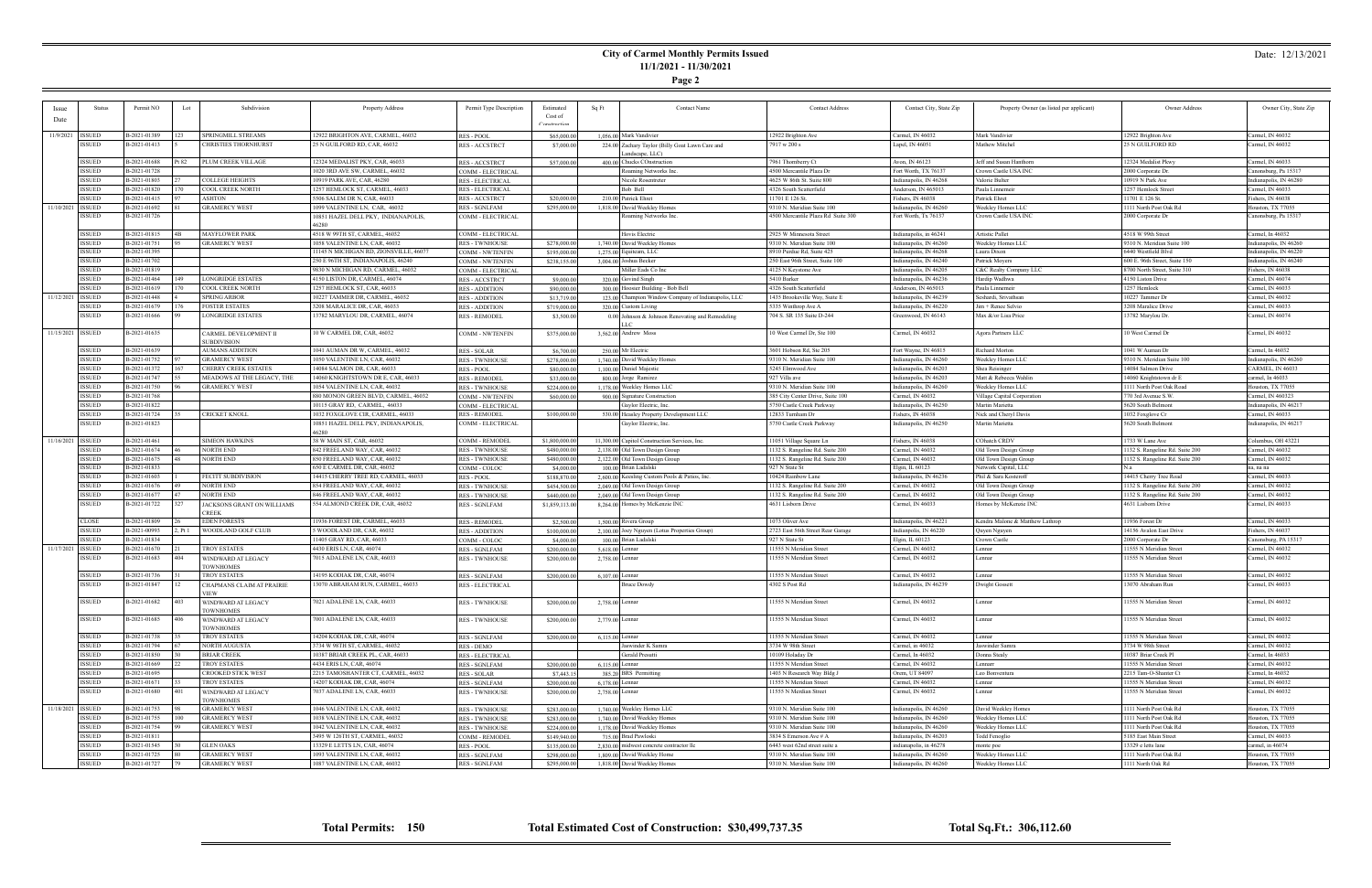## **City of Carmel Monthly Permits Issued 11/1/2021 - 11/30/2021**

### Date: 12/13/2021

**Page 2**

| Issue               | <b>Status</b>                  | Permit NO                    | Lot     | Subdivision                                | Property Address                                               | Permit Type Description                        | Estimated                      | Sq Ft             | <b>Contact Name</b>                                                             | <b>Contact Address</b>                                      | Contact City, State Zip                          | Property Owner (as listed per applicant) | Owner Address                                | Owner City, State Zip                  |
|---------------------|--------------------------------|------------------------------|---------|--------------------------------------------|----------------------------------------------------------------|------------------------------------------------|--------------------------------|-------------------|---------------------------------------------------------------------------------|-------------------------------------------------------------|--------------------------------------------------|------------------------------------------|----------------------------------------------|----------------------------------------|
| Date                |                                |                              |         |                                            |                                                                |                                                | Cost of                        |                   |                                                                                 |                                                             |                                                  |                                          |                                              |                                        |
|                     |                                |                              |         |                                            |                                                                |                                                | Construation                   |                   |                                                                                 |                                                             |                                                  |                                          |                                              |                                        |
| 11/9/2021   ISSUED  |                                | B-2021-01389                 | 123     | SPRINGMILL STREAMS                         | 2922 BRIGHTON AVE, CARMEL, 46032                               | <b>RES - POOL</b>                              | \$65,000.00                    |                   | 1,056,00 Mark Vandivier                                                         | 12922 Brighton Ave                                          | Carmel, IN 46032                                 | Mark Vandivier                           | 12922 Brighton Ave                           | Carmel, IN 46032                       |
|                     | <b>ISSUED</b>                  | B-2021-01413                 |         | CHRISTIES THORNHURST                       | 25 N GUILFORD RD, CAR, 46032                                   | <b>RES-ACCSTRCT</b>                            | \$7,000.00                     |                   | 224.00 Zachary Taylor (Billy Goat Lawn Care and                                 | 7917 w 200 s                                                | Lapel, IN 46051                                  | Mathew Mitchel                           | 25 N GUILFORD RD                             | Carmel, IN 46032                       |
|                     |                                |                              |         |                                            |                                                                |                                                |                                |                   | andscape, LLC)                                                                  |                                                             |                                                  |                                          |                                              |                                        |
|                     | <b>ISSUED</b>                  | B-2021-01688                 | Pt 82   | PLUM CREEK VILLAGE                         | 2324 MEDALIST PKY, CAR, 46033                                  | <b>RES-ACCSTRCT</b>                            | \$57,000.00                    |                   | 400.00 Chucks COnstruction                                                      | 7961 Thornberry Ct                                          | Avon, IN 46123                                   | Jeff and Susan Hanthorn                  | 12324 Medalist Pkwy                          | Carmel, IN 46033                       |
|                     | <b>ISSUED</b>                  | B-2021-01728                 |         |                                            | 020 3RD AVE SW, CARMEL, 46032                                  | COMM - ELECTRICAL                              |                                |                   | Roaming Networks Inc.                                                           | 4500 Mercantile Plaza Dr                                    | Fort Worth, TX 76137                             | Crown Castle USA INC                     | 2000 Corporate Dr.                           | Canonsburg, Pa 15317                   |
|                     | <b>ISSUED</b>                  | B-2021-01803                 |         | <b>COLLEGE HEIGHTS</b>                     | 0919 PARK AVE, CAR, 46280                                      | <b>RES - ELECTRICAL</b>                        |                                |                   | Nicole Rosentreter                                                              | 4625 W 86th St. Suite 800                                   | Indianapolis, IN 46268                           | Valorie Bulte                            | 10919 N Park Ave                             | Indianapolis, IN 46280                 |
|                     | <b>ISSUED</b>                  | B-2021-01820                 | 70      | <b>COOL CREEK NORTH</b>                    | 257 HEMLOCK ST, CARMEL, 4603.                                  | <b>RES - ELECTRICAL</b>                        |                                |                   | Bob Bell                                                                        | 4326 South Scatterfield                                     | Anderson, IN 465013                              | Paula Linnemei                           | 1257 Hemlock Street                          | Carmel, IN 46033                       |
|                     | <b>ISSUED</b>                  | B-2021-01415                 |         | ASHTON                                     | 506 SALEM DR N, CAR, 46033                                     | <b>RES - ACCSTRCT</b>                          | \$20,000.00                    |                   | 210.00 Patrick Ehret                                                            | 11701 E 126 St.                                             | Fishers, IN 46038                                | Patrick Ehret                            | 11701 E 126 St.                              | ishers, IN 46038                       |
| 11/10/2021   ISSUED |                                | B-2021-01692                 |         | <b>GRAMERCY WEST</b>                       | 099 VALENTINE LN, CAR, 46032                                   | <b>RES - SGNLFAM</b>                           | \$295,000.00                   |                   | 1,818,00 David Weekley Homes                                                    | 9310 N. Meridian Suite 100                                  | Indianapolis, IN 46260                           | <b>Weekley Homes LLC</b>                 | 1111 North Post Oak Rd                       | Iouston, TX 77055                      |
|                     | <b>ISSUED</b>                  | B-2021-01726                 |         |                                            | 10851 HAZEL DELL PKY, INDIANAPOLIS,                            | COMM - ELECTRICAL                              |                                |                   | Roaming Networks Inc.                                                           | 4500 Mercantile Plaza Rd Suite 300                          | Fort Worth, Tx 76137                             | Crown Castle USA INC                     | 2000 Corporate Dr                            | Canonsburg, Pa 15317                   |
|                     |                                |                              |         |                                            |                                                                |                                                |                                |                   |                                                                                 |                                                             |                                                  |                                          |                                              |                                        |
|                     | <b>ISSUED</b>                  | B-2021-01815                 |         | <b>MAYFLOWER PARK</b>                      | 4518 W 99TH ST, CARMEL, 46032                                  | COMM - ELECTRICAL                              |                                |                   | Hovis Electric                                                                  | 2925 W Minnesota Street                                     | Indianapolis, in 46241                           | Artistic Pallet                          | 4518 W 99th Street                           | Carmel, In 46032                       |
|                     | <b>ISSUED</b>                  | B-2021-01751                 |         | <b>GRAMERCY WEST</b>                       | 058 VALENTINE LN, CAR, 46032                                   | <b>RES - TWNHOUSE</b>                          | \$278,000.00                   |                   | 1.740.00 David Weekley Homes                                                    | 9310 N. Meridian Suite 100                                  | Indianapolis, IN 46260                           | Weekley Homes LLC                        | 9310 N. Meridian Suite 100                   | ndianapolis, IN 46260                  |
|                     | <b>ISSUED</b>                  | B-2021-01395                 |         |                                            | 1145 N MICHIGAN RD, ZIONSVILLE, 46077                          | COMM - NWTENFIN                                | \$195,000.00                   |                   | 1,275.00 Equiteam, LLC                                                          | 8910 Purdue Rd, Suite 425                                   | Indianapolis, IN 46268                           | Laura Dixon                              | 6440 Westfield Blvd                          | Indianapolis, IN 46220                 |
|                     | <b>ISSUED</b>                  | B-2021-01702                 |         |                                            | 250 E 96TH ST, INDIANAPOLIS, 46240                             | COMM - NWTENFIN                                | \$238,155.00                   |                   | 3,004.00 Joshua Becker                                                          | 250 East 96th Street, Suite 100                             | Indianapolis, IN 46240                           | Patrick Moyers                           | 600 E. 96th Street, Suite 150                | Indianapolis, IN 46240                 |
|                     | <b>ISSUED</b>                  | B-2021-01819                 |         |                                            | 9830 N MICHIGAN RD, CARMEL, 46032                              | COMM - ELECTRICAL                              |                                |                   | Miller Eads Co Inc                                                              | 4125 N Keystone Ave                                         | Indianapolis, IN 46205                           | C&C Realty Company LLC                   | 8700 North Street, Suite 310                 | Fishers, IN 46038                      |
|                     | <b>ISSUED</b>                  | B-2021-01464                 | 149     | <b>LONGRIDGE ESTATES</b>                   | 4150 LISTON DR, CARMEL, 46074                                  | <b>RES-ACCSTRCT</b>                            | \$9,000.00                     |                   | 320.00 Govind Singh                                                             | 5410 Barker                                                 | Indianapolis, IN 46236                           | Hardip Wadhwa                            | 4150 Liston Drive                            | Carmel, IN 46074                       |
|                     | <b>ISSUED</b>                  | B-2021-01619                 |         | <b>COOL CREEK NORTH</b>                    | 257 HEMLOCK ST, CAR, 46033                                     | <b>RES - ADDITION</b>                          | \$90,000.00                    |                   | 300.00 Hoosier Building - Bob Bell                                              | 4326 South Scatterfield                                     | Anderson, IN 465013                              | Paula Linnemei                           | 1257 Hemlock                                 | Carmel, IN 46033                       |
| 11/12/2021   ISSUED |                                | B-2021-01448                 |         | <b>SPRING ARBOR</b>                        | 0227 TAMMER DR, CARMEL, 46032                                  | <b>RES - ADDITION</b>                          | \$13,719.00                    |                   | 123.00 Champion Window Company of Indianapolis, LLC                             | 1435 Brookeville Way, Suite E                               | Indianapolis, IN 46239                           | Seshardi, Srivathsar                     | 10227 Tammer Dr                              | Carmel, IN 46032                       |
|                     | <b>ISSUED</b>                  | B-2021-01679                 | 176     | <b>FOSTER ESTATES</b>                      | 3208 MARALICE DR, CAR, 46033                                   | <b>RES - ADDITION</b>                          | \$719,000.00                   |                   | 320.00 Custom Living                                                            | 5335 Winthrop Ave A                                         | Indianapolis, IN 46220                           | Jim + Renee Selvio                       | 3208 Maralice Drive                          | Carmel, IN 46033                       |
|                     | <b>ISSUED</b>                  | B-2021-01666                 |         | LONGRIDGE ESTATES                          | 3782 MARYLOU DR, CARMEL, 46074                                 | <b>RES - REMODEL</b>                           | \$3,500.00                     |                   | 0.00 Johnson & Johnson Renovating and Remodeling                                | 704 S. SR 135 Suite D-244                                   | Greenwood, IN 46143                              | Max &/or Lisa Price                      | 13782 Marylou Dr.                            | Carmel, IN 46074                       |
|                     |                                |                              |         |                                            |                                                                |                                                |                                |                   | LLC                                                                             |                                                             |                                                  |                                          |                                              |                                        |
| 11/15/2021 ISSUED   |                                | B-2021-01635                 |         | CARMEL DEVELOPMENT II                      | 10 W CARMEL DR, CAR, 46032                                     | COMM - NWTENFIN                                | \$375,000.00                   |                   | 3,562.00 Andrew Moss                                                            | 10 West Carmel Dr, Ste 100                                  | Carmel, IN 46032                                 | Agora Partners LLC                       | 10 West Carmel Dr                            | Carmel, IN 46032                       |
|                     |                                |                              |         | <b>SUBDIVISION</b>                         |                                                                |                                                |                                |                   |                                                                                 |                                                             |                                                  |                                          |                                              |                                        |
|                     | <b>ISSUED</b>                  | B-2021-01639                 |         | AUMANS ADDITION                            | 041 AUMAN DR W, CARMEL, 46032                                  | <b>RES - SOLAR</b>                             | \$6,700.00                     |                   | 250.00 Mr Electric                                                              | 3601 Hobson Rd, Ste 205                                     | Fort Wayne, IN 46815                             | Richard Morton                           | 1041 W Auman Dr                              | Carmel, In 46032                       |
|                     | <b>ISSUED</b>                  | B-2021-01752                 |         | <b>GRAMERCY WEST</b>                       | 050 VALENTINE LN, CAR, 46032                                   | <b>RES-TWNHOUSE</b>                            | \$278,000.00                   |                   | 1,740,00 David Weekley Homes                                                    | 9310 N. Meridian Suite 100                                  | Indianapolis, IN 46260                           | Weekley Homes LLC                        | 9310 N. Meridian Suite 100                   | ndianapolis, IN 46260                  |
|                     | <b>ISSUED</b>                  | B-2021-01372                 |         | CHERRY CREEK ESTATES                       | 4084 SALMON DR, CAR, 46033                                     | <b>RES - POOL</b>                              | \$80,000.00                    |                   | 1,100,00 Daniel Majestic                                                        | 5245 Elmwood Ave                                            | Indianapolis, IN 46203                           | Shea Reisinger                           | 14084 Salmon Drive                           | CARMEL, IN 46033                       |
|                     | <b>ISSUED</b>                  | B-2021-01747                 |         | MEADOWS AT THE LEGACY, THE                 | 14060 KNIGHTSTOWN DR E, CAR, 46033                             | <b>RES - REMODEL</b>                           | \$33,000.00                    |                   | 800.00 Jorge Ramirez                                                            | 927 Villa ave                                               | Indianapolis, IN 46203                           | Matt & Rebecca Wahlin                    | 14060 Knightstown dr E                       | carmel, In 46033                       |
|                     | <b>ISSUED</b>                  | B-2021-01750                 |         | <b>GRAMERCY WEST</b>                       | 1054 VALENTINE LN, CAR, 46032                                  | <b>RES-TWNHOUSE</b>                            | \$224,000.00                   |                   | 1,178.00 Weekley Homes LLC                                                      | 9310 N. Meridian Suite 100                                  | Indianapolis, IN 46260                           | Weekley Homes LLC                        | 1111 North Post Oak Road                     | Jouston, TX 77055                      |
|                     | <b>ISSUED</b>                  | B-2021-01768                 |         |                                            | 880 MONON GREEN BLVD, CARMEL, 46032                            | <b>COMM - NWTENFIN</b>                         | \$60,000.00                    |                   | 900.00 Signature Construction                                                   | 385 City Center Drive, Suite 100                            | Carmel, IN 46032                                 | Village Capital Corporation              | 770 3rd Avenue S.W                           | Carmel, IN 460323                      |
|                     | <b>ISSUED</b>                  | B-2021-01822                 |         |                                            | 10115 GRAY RD, CARMEL, 46033                                   | COMM - ELECTRICAL                              |                                |                   | Gaylor Electric, Inc.                                                           | 5750 Castle Creek Parkway                                   | Indianapolis, IN 46250                           | Martin Marietta                          | 5620 South Belmont                           | Indianapolis, IN 46217                 |
|                     | <b>ISSUED</b>                  | B-2021-01724                 |         | <b>CRICKET KNOLL</b>                       | 032 FOXGLOVE CIR, CARMEL, 46033                                | <b>RES - REMODEL</b>                           | \$100,000.00                   |                   | 530.00 Heasley Property Development LLC                                         | 12833 Turnham Dr                                            | Fishers, IN 46038                                | Nick and Cheryl Davis                    | 1032 Foxglove Cr                             | Carmel, IN 46033                       |
|                     | <b>ISSUED</b>                  | B-2021-01823                 |         |                                            | 0851 HAZEL DELL PKY, INDIANAPOLIS,                             | COMM - ELECTRICAL                              |                                |                   | Gaylor Electric, Inc.                                                           | 5750 Castle Creek Parkway                                   | Indianapolis, IN 46250                           | Martin Marietta                          | 5620 South Belmont                           | ndianapolis, IN 46217                  |
| 11/16/2021 ISSUED   |                                | B-2021-01461                 |         | <b>SIMEON HAWKINS</b>                      | 46280<br>38 W MAIN ST, CAR, 46032                              |                                                |                                |                   |                                                                                 | 11051 Village Square Ln                                     |                                                  | COhatch CRDV                             | 1733 W Lane Ave                              | Columbus, OH 43221                     |
|                     | <b>ISSUED</b>                  | B-2021-01674                 |         | NORTH END                                  | 842 FREELAND WAY, CAR, 46032                                   | <b>COMM - REMODEL</b><br><b>RES - TWNHOUSE</b> | \$1,800,000.00<br>\$480,000.00 |                   | 11,300.00 Capitol Construction Services, Inc.<br>2.138.00 Old Town Design Group | 1132 S. Rangeline Rd. Suite 200                             | Fishers, IN 46038<br>Carmel, IN 46032            | Old Town Design Group                    | 1132 S. Rangeline Rd. Suite 200              | Carmel, IN 46032                       |
|                     | <b>ISSUED</b>                  | B-2021-01675                 |         | NORTH END                                  | 850 FREELAND WAY, CAR, 46032                                   | <b>RES - TWNHOUSE</b>                          | \$480,000.00                   |                   | 2,122.00 Old Town Design Group                                                  | 1132 S. Rangeline Rd. Suite 200                             | Carmel, IN 46032                                 | Old Town Design Group                    | 1132 S. Rangeline Rd. Suite 200              | Carmel, IN 46032                       |
|                     | <b>ISSUED</b>                  | B-2021-01833                 |         |                                            | 650 E CARMEL DR, CAR, 46032                                    | COMM - COLOC                                   | \$4,000.00                     |                   | 100.00 Brian Ladalski                                                           | 927 N State St                                              | Elgin, IL 60123                                  | Network Capital, LLC                     | N.a                                          | na, na na                              |
|                     | <b>ISSUED</b>                  | B-2021-01603                 |         | FECITT SUBDIVISION                         | 14415 CHERRY TREE RD, CARMEL, 46033                            | RES - POOL                                     | \$188,870.00                   |                   | 2,600,00 Keesling Custom Pools & Patios, Inc.                                   | 10424 Rainbow Lane                                          | Indianapolis, IN 46236                           | Phil & Sara Kosteroff                    | 14415 Cherry Tree Road                       | Carmel, IN 46033                       |
|                     |                                |                              |         | <b>NORTH END</b>                           | 854 FREELAND WAY, CAR, 46032                                   |                                                |                                |                   | 2,049.00 Old Town Design Group                                                  |                                                             |                                                  |                                          |                                              | Carmel, IN 46032                       |
|                     |                                |                              |         |                                            |                                                                |                                                |                                |                   |                                                                                 |                                                             |                                                  |                                          |                                              |                                        |
|                     | <b>ISSUED</b>                  | B-2021-01676                 |         |                                            |                                                                | <b>RES - TWNHOUSI</b>                          | \$454,500.00                   |                   |                                                                                 | 1132 S. Rangeline Rd. Suite 200                             | Carmel, IN 46032                                 | Old Town Design Group                    | 1132 S. Rangeline Rd. Suite 200              |                                        |
|                     | <b>ISSUED</b>                  | B-2021-01677                 |         | NORTH END                                  | 846 FREELAND WAY, CAR, 46032                                   | <b>RES - TWNHOUSE</b>                          | \$440,000.00                   |                   | 2,049,00 Old Town Design Group                                                  | 1132 S. Rangeline Rd. Suite 200                             | Carmel, IN 46032                                 | Old Town Design Group                    | 1132 S. Rangeline Rd. Suite 200              | Carmel, IN 46032                       |
|                     | <b>ISSUED</b>                  | B-2021-01722                 | 327     | JACKSONS GRANT ON WILLIAMS<br><b>CREEK</b> | 554 ALMOND CREEK DR, CAR, 46032                                | RES - SGNLFAM                                  | \$1,859,113.00                 |                   | 8,264.00 Homes by McKenzie INC                                                  | 4631 Lisborn Drive                                          | Carmel, IN 46033                                 | Homes by McKenzie INC                    | 4631 Lisborn Drive                           | Carmel, IN 46033                       |
|                     | <b>CLOSE</b>                   | B-2021-01809                 |         | EDEN FORESTS                               | 1936 FOREST DR, CARMEL, 46033                                  | <b>RES - REMODEL</b>                           | \$2,500.00                     |                   | 1.500.00 Rivera Group                                                           | 1073 Oliver Ave                                             | Indianapolis, IN 46221                           | Kendra Malone & Matthew Lathrop          | 11936 Forest Dr                              | Carmel, IN 46033                       |
|                     | <b>ISSUED</b>                  | B-2021-00993                 | 2, Pt 1 | <b>WOODLAND GOLF CLUB</b>                  | WOODLAND DR, CAR, 46032                                        | <b>RES - ADDITION</b>                          | \$100,000.00                   |                   | 2,100.00 Joey Nguyen (Lotus Properties Group)                                   | 2723 East 56th Street Rear Garage                           | Indianpolis, IN 46220                            | Quyen Nguyen                             | 14156 Avalon East Drive                      | ishers, IN 46037                       |
|                     | <b>ISSUED</b>                  | B-2021-01834                 |         |                                            | 1405 GRAY RD, CAR, 46033                                       | COMM - COLOC                                   | \$4,000.00                     |                   | 100.00 Brian Ladalski                                                           | 927 N State St                                              | Elgin, IL 60123                                  | Crown Castle                             | 2000 Corporate Dr                            | Canonsburg, PA 1531'                   |
| 11/17/2021   ISSUED |                                | B-2021-01670                 |         | <b>TROY ESTATES</b>                        | 4430 ERIS LN, CAR, 46074                                       | <b>RES - SGNLFAM</b>                           | \$200,000.00                   | 5,618.00 Lennar   |                                                                                 | 11555 N Meridian Street                                     | Carmel, IN 46032                                 | Lennar                                   | 11555 N Meridian Street                      | Carmel, IN 46032                       |
|                     | <b>ISSUED</b>                  | B-2021-01683                 | 404     | WINDWARD AT LEGACY                         | 7015 ADALENE LN, CAR, 46033                                    | <b>RES - TWNHOUSE</b>                          | \$200,000.00                   | 2,758.00 Lennar   |                                                                                 | 11555 N Meridian Street                                     | Carmel, IN 46032                                 | Lennar                                   | 11555 N Meridian Street                      | Carmel, IN 46032                       |
|                     |                                |                              |         | <b>TOWNHOMES</b>                           |                                                                |                                                |                                |                   |                                                                                 |                                                             |                                                  |                                          |                                              |                                        |
|                     | <b>ISSUED</b>                  | B-2021-01736                 |         | TROY ESTATES                               | 4195 KODIAK DR, CAR, 46074                                     | <b>RES - SGNLFAM</b>                           | \$200,000.00                   | $6,107.00$ Lennar |                                                                                 | 11555 N Meridian Street                                     | Carmel, IN 46032                                 | Lennar                                   | 11555 N Meridian Street                      | Carmel, IN 46032                       |
|                     | <b>ISSUED</b>                  | B-2021-01847                 |         | CHAPMANS CLAIM AT PRAIRIE                  | 3070 ABRAHAM RUN, CARMEL, 46033                                | <b>RES - ELECTRICAL</b>                        |                                |                   | <b>Bruce Dowdy</b>                                                              | 4302 S Post Rd                                              | Indianapolis, IN 46239                           | <b>Dwight Gossett</b>                    | 13070 Abraham Run                            | Carmel, IN 46033                       |
|                     |                                |                              |         | <b>VIEW</b>                                |                                                                |                                                |                                |                   |                                                                                 |                                                             |                                                  |                                          |                                              |                                        |
|                     | <b>ISSUED</b>                  | B-2021-01682                 | 403     | WINDWARD AT LEGACY                         | 7021 ADALENE LN, CAR, 46033                                    | <b>RES - TWNHOUSE</b>                          | \$200,000.00                   | 2,758.00 Lennar   |                                                                                 | 11555 N Meridian Street                                     | Carmel, IN 46032                                 | Lennar                                   | 11555 N Meridian Street                      | Carmel, IN 46032                       |
|                     |                                |                              |         | <b>TOWNHOMES</b>                           |                                                                |                                                |                                |                   |                                                                                 |                                                             |                                                  |                                          |                                              |                                        |
|                     | <b>ISSUED</b>                  | B-2021-01685                 | 406     | WINDWARD AT LEGACY                         | 7001 ADALENE LN, CAR, 46033                                    | <b>RES - TWNHOUSE</b>                          | \$200,000.00                   | 2,779.00 Lennar   |                                                                                 | 11555 N Meridian Street                                     | Carmel, IN 46032                                 | Lennar                                   | 11555 N Meridian Street                      | Carmel, IN 46032                       |
|                     |                                |                              |         | <b>TOWNHOMES</b>                           |                                                                |                                                |                                |                   |                                                                                 |                                                             |                                                  |                                          |                                              |                                        |
|                     | <b>ISSUED</b>                  | B-2021-01738                 |         | <b>TROY ESTATES</b>                        | 14204 KODIAK DR, CAR, 46074                                    | <b>RES - SGNLFAM</b>                           | \$200,000.00                   | $6.115.00$ Lennar |                                                                                 | 11555 N Meridian Street                                     | Carmel, IN 46032                                 | Lennar                                   | 11555 N Meridian Street                      | Carmel, IN 46032                       |
|                     | <b>ISSUED</b>                  | B-2021-01794                 |         | NORTH AUGUSTA                              | 3734 W 98TH ST, CARMEL, 46032                                  | RES - DEMO                                     |                                |                   | Jaswinder K Samra                                                               | 3734 W 98th Street                                          | Carmel, in 46032                                 | Jaswinder Samra                          | 3734 W 98th Street                           | Carmel, IN 46032                       |
|                     | <b>ISSUED</b>                  | B-2021-01850                 |         | BRIAR CREEK                                | 10387 BRIAR CREEK PL, CAR, 46033                               | <b>RES - ELECTRICAL</b>                        |                                |                   | Gerald Presutti                                                                 | 10109 Holaday Dr                                            | Carmel, In 46032                                 | Donna Stealy                             | 10387 Briar Creek Pl                         | Carmel, In 46033                       |
|                     | <b>ISSUED</b>                  | B-2021-01669                 |         | <b>TROY ESTATES</b>                        | 4434 ERIS LN, CAR, 46074                                       | <b>RES - SGNLFAM</b>                           | \$200,000.00                   | 6.115.00 Lennar   |                                                                                 | 11555 N Meridian Street                                     | Carmel, IN 46032                                 | Lennarr                                  | 11555 N Meridian Street                      | Carmel, IN 46032                       |
|                     | <b>ISSUED</b>                  | B-2021-01695                 |         | CROOKED STICK WEST                         | 2215 TAMOSHANTER CT, CARMEL, 46032                             | RES - SOLAR                                    | \$7,443.1                      |                   | 385.20 BRS Permitting                                                           | 1403 N Research Way Bldg J                                  | Orem, UT 84097                                   | Leo Bonventura                           | 2215 Tam-O-Shanter Ct                        | Carmel, In 46032                       |
|                     | <b>ISSUED</b>                  | B-2021-01671                 |         | <b>TROY ESTATES</b>                        | 14207 KODIAK DR, CAR, 46074                                    | <b>RES - SGNLFAM</b>                           | \$200,000.00                   | $6.178.00$ Lennar |                                                                                 | 11555 N Meridian Street                                     | Carmel, IN 46032                                 | Lennar                                   | 11555 N Meridian Street                      | Carmel, IN 46032                       |
|                     | <b>ISSUED</b>                  | B-2021-01680                 | 401     | WINDWARD AT LEGACY                         | 037 ADALENE LN, CAR, 46033                                     | <b>RES - TWNHOUSE</b>                          | \$200,000.00                   | 2,758.00 Lennar   |                                                                                 | 11555 N Merdian Street                                      | Carmel, IN 46032                                 | Lennar                                   | 11555 N Meridian Street                      | Carmel, IN 46032                       |
|                     |                                |                              |         | TOWNHOMES                                  |                                                                |                                                |                                |                   |                                                                                 |                                                             |                                                  |                                          |                                              |                                        |
| 11/18/2021 ISSUED   |                                | B-2021-01753                 | 100     | <b>GRAMERCY WEST</b>                       | 046 VALENTINE LN, CAR, 46032                                   | <b>RES-TWNHOUSE</b>                            | \$283,000.00                   |                   | 1.740.00 Weekley Homes LLC                                                      | 9310 N. Meridian Suite 100                                  | Indianapolis, IN 46260                           | David Weekley Homes                      | 1111 North Post Oak Rd                       | Houston, TX 77055                      |
|                     | <b>ISSUED</b>                  | B-2021-01755                 |         | <b>GRAMERCY WEST</b>                       | 038 VALENTINE LN, CAR, 46032                                   | <b>RES-TWNHOUSE</b>                            | \$283,000.00                   |                   | 1,740.00 David Weekley Homes                                                    | 9310 N. Meridian Suite 100<br>9310 N. Meridian Suite 100    | Indianapolis, IN 46260                           | Weekley Homes LLC                        | 1111 North Post Oak Rd                       | Houston, TX 77055                      |
|                     | <b>ISSUED</b>                  | B-2021-01754                 |         | <b>GRAMERCY WEST</b>                       | 042 VALENTINE LN, CAR, 46032<br>3495 W 126TH ST, CARMEL, 46032 | <b>RES - TWNHOUSE</b>                          | \$224,000.00                   |                   | 1,178,00 David Weekley Homes                                                    |                                                             | Indianapolis, IN 46260                           | Weekley Homes LLC                        | 1111 North Post Oak Rd                       | Houston, TX 77055                      |
|                     | <b>ISSUED</b><br><b>ISSUED</b> | B-2021-01811                 |         | <b>GLEN OAKS</b>                           |                                                                | COMM - REMODEL                                 | \$149,940.00                   |                   | 715.00 Brad Pawloski                                                            | 3834 S Emerson Ave # A                                      | Indianapolis, IN 46203                           | Todd Fenoglio                            | 5185 East Main Street                        | Carmel, IN 46033                       |
|                     | <b>ISSUED</b>                  | B-2021-01545<br>B-2021-01725 |         | <b>GRAMERCY WEST</b>                       | 3329 E LETTS LN, CAR, 46074                                    | RES - POOL                                     | \$135,000.00                   |                   | 2,830.00 midwest concrete contractor llc<br>1.809.00 David Weekley Home         | 6443 west 62nd street suite a<br>9310 N. Meridian Suite 100 | indianapolis, in 46278<br>Indianapolis, IN 46260 | monte poe                                | 13329 e letts lane<br>1111 North Post Oak Rd | carmel, in 46074                       |
|                     | <b>ISSUED</b>                  | B-2021-01727                 |         | <b>GRAMERCY WEST</b>                       | 093 VALENTINE LN, CAR, 46032<br>087 VALENTINE LN, CAR, 46032   | <b>RES - SGNLFAM</b><br><b>RES - SGNLFAM</b>   | \$298,000.00<br>\$295,000.00   |                   | 1,818.00 David Weekley Homes                                                    | 9310 N. Meridian Suite 100                                  | Indianapolis, IN 46260                           | Weekley Homes LLC<br>Weekley Homes LLC   | 1111 North Oak Rd                            | Houston, TX 77055<br>Houston, TX 77055 |

**Total Permits: 150 Total Estimated Cost of Construction: \$30,499,737.35 Total Sq.Ft.: 306,112.60**